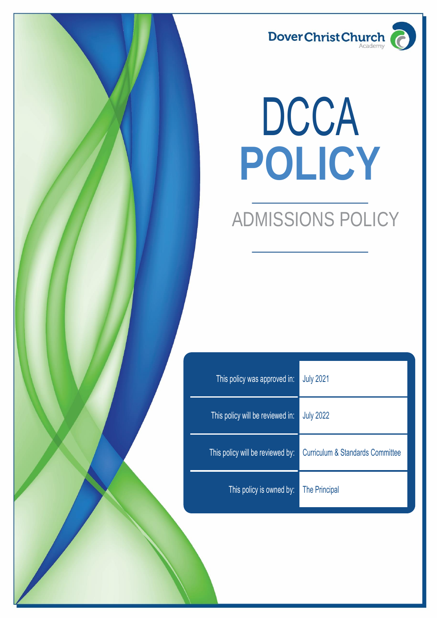

# **POLICY** DCCA

# ADMISSIONS POLICY

| This policy was approved in:     | <b>July 2021</b>                            |
|----------------------------------|---------------------------------------------|
| This policy will be reviewed in: | <b>July 2022</b>                            |
| This policy will be reviewed by: | <b>Curriculum &amp; Standards Committee</b> |
| This policy is owned by:         | The Principal                               |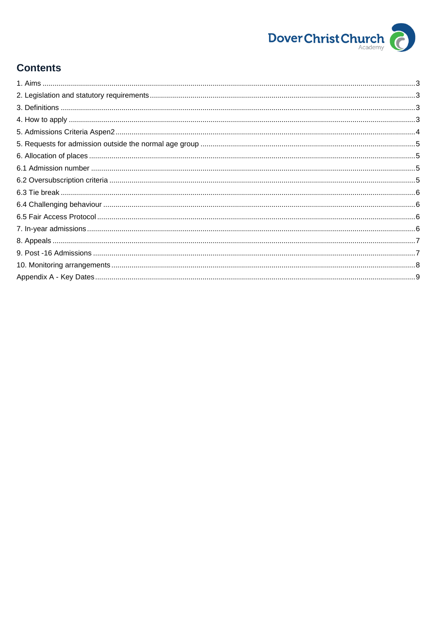

# **Contents**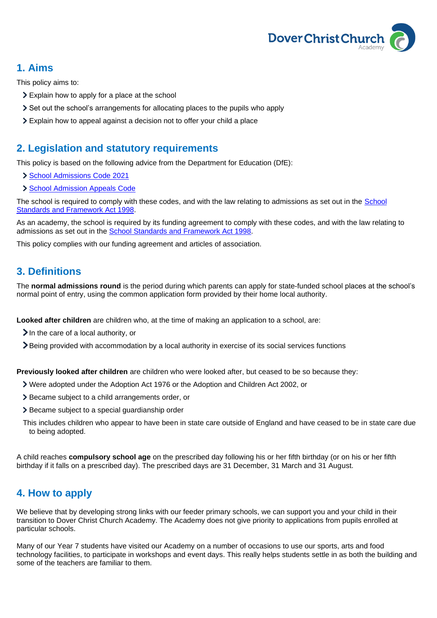

# <span id="page-2-0"></span>**1. Aims**

This policy aims to:

- Explain how to apply for a place at the school
- Set out the school's arrangements for allocating places to the pupils who apply
- Explain how to appeal against a decision not to offer your child a place

## <span id="page-2-1"></span>**2. Legislation and statutory requirements**

This policy is based on the following advice from the Department for Education (DfE):

- [School Admissions Code 2021](https://www.gov.uk/government/publications/school-admissions-code--2)
- > [School Admission Appeals Code](https://www.gov.uk/government/publications/school-admissions-appeals-code)

The school is required to comply with these codes, and with the law relating to admissions as set out in the [School](http://www.legislation.gov.uk/ukpga/1998/31/contents)  [Standards and Framework Act 1998.](http://www.legislation.gov.uk/ukpga/1998/31/contents)

As an academy, the school is required by its funding agreement to comply with these codes, and with the law relating to admissions as set out in the [School Standards and Framework Act 1998.](http://www.legislation.gov.uk/ukpga/1998/31/contents)

This policy complies with our funding agreement and articles of association.

# <span id="page-2-2"></span>**3. Definitions**

The **normal admissions round** is the period during which parents can apply for state-funded school places at the school's normal point of entry, using the common application form provided by their home local authority.

**Looked after children** are children who, at the time of making an application to a school, are:

- $\sum$  In the care of a local authority, or
- Being provided with accommodation by a local authority in exercise of its social services functions

**Previously looked after children** are children who were looked after, but ceased to be so because they:

- Were adopted under the Adoption Act 1976 or the Adoption and Children Act 2002, or
- Became subject to a child arrangements order, or
- > Became subject to a special guardianship order
- This includes children who appear to have been in state care outside of England and have ceased to be in state care due to being adopted.

A child reaches **compulsory school age** on the prescribed day following his or her fifth birthday (or on his or her fifth birthday if it falls on a prescribed day). The prescribed days are 31 December, 31 March and 31 August.

# <span id="page-2-3"></span>**4. How to apply**

We believe that by developing strong links with our feeder primary schools, we can support you and your child in their transition to Dover Christ Church Academy. The Academy does not give priority to applications from pupils enrolled at particular schools.

Many of our Year 7 students have visited our Academy on a number of occasions to use our sports, arts and food technology facilities, to participate in workshops and event days. This really helps students settle in as both the building and some of the teachers are familiar to them.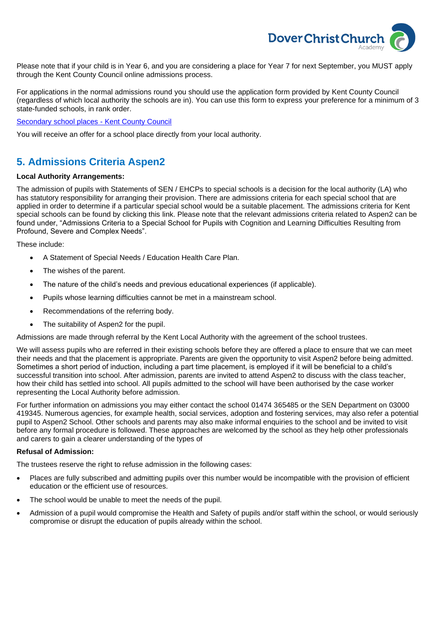

Please note that if your child is in Year 6, and you are considering a place for Year 7 for next September, you MUST apply through the Kent County Council online admissions process.

For applications in the normal admissions round you should use the application form provided by Kent County Council (regardless of which local authority the schools are in). You can use this form to express your preference for a minimum of 3 state-funded schools, in rank order.

[Secondary school places -](https://www.kent.gov.uk/education-and-children/schools/school-places/secondary-school-places#:~:text=Secondary%20school%20applications%20for%20Kent,full%20address%20and%20current%20school.) Kent County Council

You will receive an offer for a school place directly from your local authority.

# <span id="page-3-0"></span>**5. Admissions Criteria Aspen2**

#### **Local Authority Arrangements:**

The admission of pupils with Statements of SEN / EHCPs to special schools is a decision for the local authority (LA) who has statutory responsibility for arranging their provision. There are admissions criteria for each special school that are applied in order to determine if a particular special school would be a suitable placement. The admissions criteria for Kent special schools can be found by clicking this [link.](http://www.kelsi.org.uk/__data/assets/excel_doc/0019/57025/Range-of-Kent-Special-Schools-available-to-pupils-in-each-district.xlsx) Please note that the relevant admissions criteria related to Aspen2 can be found under, "Admissions Criteria to a Special School for Pupils with Cognition and Learning Difficulties Resulting from Profound, Severe and Complex Needs".

These include:

- A Statement of Special Needs / Education Health Care Plan.
- The wishes of the parent.
- The nature of the child's needs and previous educational experiences (if applicable).
- Pupils whose learning difficulties cannot be met in a mainstream school.
- Recommendations of the referring body.
- The suitability of Aspen2 for the pupil.

Admissions are made through referral by the Kent Local Authority with the agreement of the school trustees.

We will assess pupils who are referred in their existing schools before they are offered a place to ensure that we can meet their needs and that the placement is appropriate. Parents are given the opportunity to visit Aspen2 before being admitted. Sometimes a short period of induction, including a part time placement, is employed if it will be beneficial to a child's successful transition into school. After admission, parents are invited to attend Aspen2 to discuss with the class teacher, how their child has settled into school. All pupils admitted to the school will have been authorised by the case worker representing the Local Authority before admission.

For further information on admissions you may either contact the school 01474 365485 or the SEN Department on 03000 419345. Numerous agencies, for example health, social services, adoption and fostering services, may also refer a potential pupil to Aspen2 School. Other schools and parents may also make informal enquiries to the school and be invited to visit before any formal procedure is followed. These approaches are welcomed by the school as they help other professionals and carers to gain a clearer understanding of the types of

#### **Refusal of Admission:**

The trustees reserve the right to refuse admission in the following cases:

- Places are fully subscribed and admitting pupils over this number would be incompatible with the provision of efficient education or the efficient use of resources.
- The school would be unable to meet the needs of the pupil.
- Admission of a pupil would compromise the Health and Safety of pupils and/or staff within the school, or would seriously compromise or disrupt the education of pupils already within the school.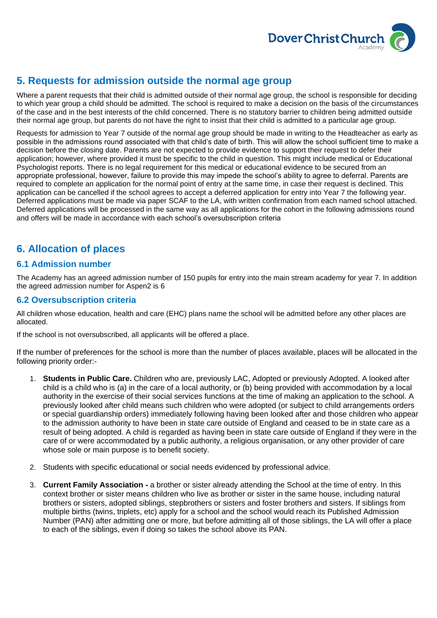

# <span id="page-4-0"></span>**5. Requests for admission outside the normal age group**

Where a parent requests that their child is admitted outside of their normal age group, the school is responsible for deciding to which year group a child should be admitted. The school is required to make a decision on the basis of the circumstances of the case and in the best interests of the child concerned. There is no statutory barrier to children being admitted outside their normal age group, but parents do not have the right to insist that their child is admitted to a particular age group.

Requests for admission to Year 7 outside of the normal age group should be made in writing to the Headteacher as early as possible in the admissions round associated with that child's date of birth. This will allow the school sufficient time to make a decision before the closing date. Parents are not expected to provide evidence to support their request to defer their application; however, where provided it must be specific to the child in question. This might include medical or Educational Psychologist reports. There is no legal requirement for this medical or educational evidence to be secured from an appropriate professional, however, failure to provide this may impede the school's ability to agree to deferral. Parents are required to complete an application for the normal point of entry at the same time, in case their request is declined. This application can be cancelled if the school agrees to accept a deferred application for entry into Year 7 the following year. Deferred applications must be made via paper SCAF to the LA, with written confirmation from each named school attached. Deferred applications will be processed in the same way as all applications for the cohort in the following admissions round and offers will be made in accordance with each school's oversubscription criteria

# <span id="page-4-1"></span>**6. Allocation of places**

#### <span id="page-4-2"></span>**6.1 Admission number**

The Academy has an agreed admission number of 150 pupils for entry into the main stream academy for year 7. In addition the agreed admission number for Aspen2 is 6

#### <span id="page-4-3"></span>**6.2 Oversubscription criteria**

All children whose education, health and care (EHC) plans name the school will be admitted before any other places are allocated.

If the school is not oversubscribed, all applicants will be offered a place.

If the number of preferences for the school is more than the number of places available, places will be allocated in the following priority order:-

- 1. **Students in Public Care.** Children who are, previously LAC, Adopted or previously Adopted. A looked after child is a child who is (a) in the care of a local authority, or (b) being provided with accommodation by a local authority in the exercise of their social services functions at the time of making an application to the school. A previously looked after child means such children who were adopted (or subject to child arrangements orders or special guardianship orders) immediately following having been looked after and those children who appear to the admission authority to have been in state care outside of England and ceased to be in state care as a result of being adopted. A child is regarded as having been in state care outside of England if they were in the care of or were accommodated by a public authority, a religious organisation, or any other provider of care whose sole or main purpose is to benefit society.
- 2. Students with specific educational or social needs evidenced by professional advice.
- 3. **Current Family Association -** a brother or sister already attending the School at the time of entry. In this context brother or sister means children who live as brother or sister in the same house, including natural brothers or sisters, adopted siblings, stepbrothers or sisters and foster brothers and sisters. If siblings from multiple births (twins, triplets, etc) apply for a school and the school would reach its Published Admission Number (PAN) after admitting one or more, but before admitting all of those siblings, the LA will offer a place to each of the siblings, even if doing so takes the school above its PAN.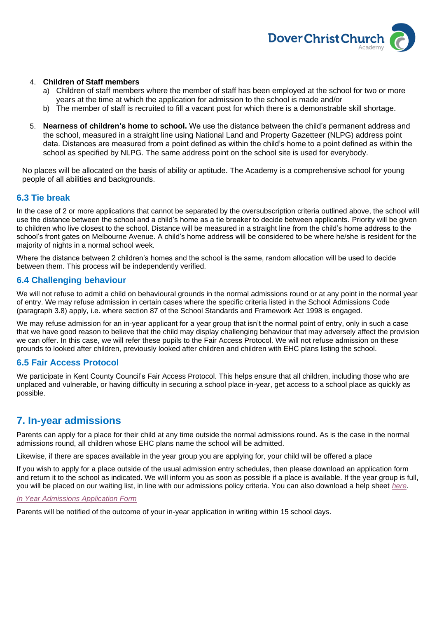

#### 4. **Children of Staff members**

- a) Children of staff members where the member of staff has been employed at the school for two or more years at the time at which the application for admission to the school is made and/or
- b) The member of staff is recruited to fill a vacant post for which there is a demonstrable skill shortage.
- 5. **Nearness of children's home to school.** We use the distance between the child's permanent address and the school, measured in a straight line using National Land and Property Gazetteer (NLPG) address point data. Distances are measured from a point defined as within the child's home to a point defined as within the school as specified by NLPG. The same address point on the school site is used for everybody.

No places will be allocated on the basis of ability or aptitude. The Academy is a comprehensive school for young people of all abilities and backgrounds.

#### <span id="page-5-0"></span>**6.3 Tie break**

In the case of 2 or more applications that cannot be separated by the oversubscription criteria outlined above, the school will use the distance between the school and a child's home as a tie breaker to decide between applicants. Priority will be given to children who live closest to the school. Distance will be measured in a straight line from the child's home address to the school's front gates on Melbourne Avenue. A child's home address will be considered to be where he/she is resident for the majority of nights in a normal school week.

Where the distance between 2 children's homes and the school is the same, random allocation will be used to decide between them. This process will be independently verified.

#### <span id="page-5-1"></span>**6.4 Challenging behaviour**

We will not refuse to admit a child on behavioural grounds in the normal admissions round or at any point in the normal year of entry. We may refuse admission in certain cases where the specific criteria listed in the School Admissions Code (paragraph 3.8) apply, i.e. where section 87 of the School Standards and Framework Act 1998 is engaged.

We may refuse admission for an in-year applicant for a year group that isn't the normal point of entry, only in such a case that we have good reason to believe that the child may display challenging behaviour that may adversely affect the provision we can offer. In this case, we will refer these pupils to the Fair Access Protocol. We will not refuse admission on these grounds to looked after children, previously looked after children and children with EHC plans listing the school.

#### <span id="page-5-2"></span>**6.5 Fair Access Protocol**

We participate in Kent County Council's Fair Access Protocol. This helps ensure that all children, including those who are unplaced and vulnerable, or having difficulty in securing a school place in-year, get access to a school place as quickly as possible.

### <span id="page-5-3"></span>**7. In-year admissions**

Parents can apply for a place for their child at any time outside the normal admissions round. As is the case in the normal admissions round, all children whose EHC plans name the school will be admitted.

Likewise, if there are spaces available in the year group you are applying for, your child will be offered a place

If you wish to apply for a place outside of the usual admission entry schedules, then please download an application form and return it to the school as indicated. We will inform you as soon as possible if a place is available. If the year group is full, you will be placed on our waiting list, in line with our admissions policy criteria. You can also download a help sheet *[here](http://www.dccacademy.org.uk/downloads/admissions/Admissions_Guidance.pdf)*.

#### *[In Year Admissions Application Form](http://www.dccacademy.org.uk/downloads/admissions/IYAF.pdf)*

Parents will be notified of the outcome of your in-year application in writing within 15 school days.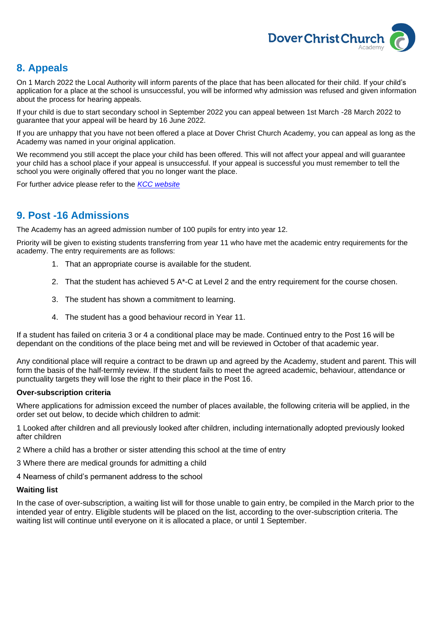

# <span id="page-6-0"></span>**8. Appeals**

On 1 March 2022 the Local Authority will inform parents of the place that has been allocated for their child. If your child's application for a place at the school is unsuccessful, you will be informed why admission was refused and given information about the process for hearing appeals.

If your child is due to start secondary school in September 2022 you can appeal between 1st March -28 March 2022 to guarantee that your appeal will be heard by 16 June 2022.

If you are unhappy that you have not been offered a place at Dover Christ Church Academy, you can appeal as long as the Academy was named in your original application.

We recommend you still accept the place your child has been offered. This will not affect your appeal and will guarantee your child has a school place if your appeal is unsuccessful. If your appeal is successful you must remember to tell the school you were originally offered that you no longer want the place.

For further advice please refer to the *[KCC website](http://www.kent.gov.uk/education-and-children/schools/school-places/appeal-a-school-offer)*

# <span id="page-6-1"></span>**9. Post -16 Admissions**

The Academy has an agreed admission number of 100 pupils for entry into year 12.

Priority will be given to existing students transferring from year 11 who have met the academic entry requirements for the academy. The entry requirements are as follows:

- 1. That an appropriate course is available for the student.
- 2. That the student has achieved 5 A\*-C at Level 2 and the entry requirement for the course chosen.
- 3. The student has shown a commitment to learning.
- 4. The student has a good behaviour record in Year 11.

If a student has failed on criteria 3 or 4 a conditional place may be made. Continued entry to the Post 16 will be dependant on the conditions of the place being met and will be reviewed in October of that academic year.

Any conditional place will require a contract to be drawn up and agreed by the Academy, student and parent. This will form the basis of the half-termly review. If the student fails to meet the agreed academic, behaviour, attendance or punctuality targets they will lose the right to their place in the Post 16.

#### **Over-subscription criteria**

Where applications for admission exceed the number of places available, the following criteria will be applied, in the order set out below, to decide which children to admit:

1 Looked after children and all previously looked after children, including internationally adopted previously looked after children

2 Where a child has a brother or sister attending this school at the time of entry

- 3 Where there are medical grounds for admitting a child
- 4 Nearness of child's permanent address to the school

#### **Waiting list**

In the case of over-subscription, a waiting list will for those unable to gain entry, be compiled in the March prior to the intended year of entry. Eligible students will be placed on the list, according to the over-subscription criteria. The waiting list will continue until everyone on it is allocated a place, or until 1 September.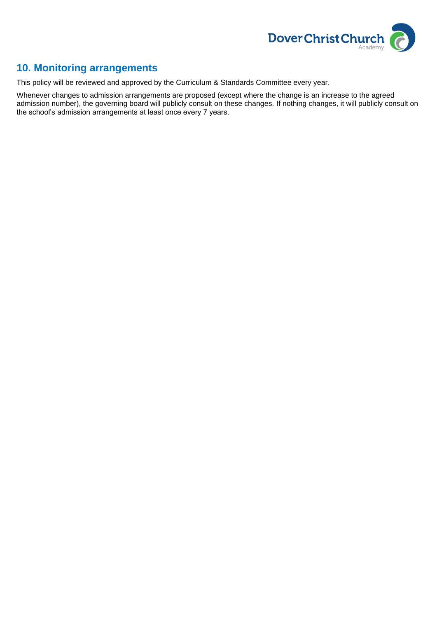

# <span id="page-7-0"></span>**10. Monitoring arrangements**

This policy will be reviewed and approved by the Curriculum & Standards Committee every year.

Whenever changes to admission arrangements are proposed (except where the change is an increase to the agreed admission number), the governing board will publicly consult on these changes. If nothing changes, it will publicly consult on the school's admission arrangements at least once every 7 years.